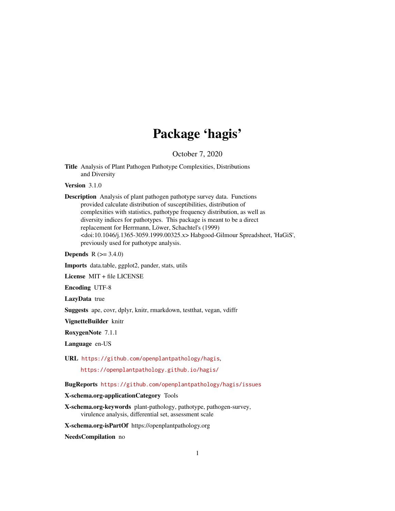## Package 'hagis'

October 7, 2020

<span id="page-0-0"></span>Title Analysis of Plant Pathogen Pathotype Complexities, Distributions and Diversity

Version 3.1.0

Description Analysis of plant pathogen pathotype survey data. Functions provided calculate distribution of susceptibilities, distribution of complexities with statistics, pathotype frequency distribution, as well as diversity indices for pathotypes. This package is meant to be a direct replacement for Herrmann, Löwer, Schachtel's (1999) <doi:10.1046/j.1365-3059.1999.00325.x> Habgood-Gilmour Spreadsheet, 'HaGiS', previously used for pathotype analysis.

**Depends** R  $(>= 3.4.0)$ 

Imports data.table, ggplot2, pander, stats, utils

License MIT + file LICENSE

Encoding UTF-8

LazyData true

Suggests ape, covr, dplyr, knitr, rmarkdown, testthat, vegan, vdiffr

VignetteBuilder knitr

RoxygenNote 7.1.1

Language en-US

URL <https://github.com/openplantpathology/hagis>,

<https://openplantpathology.github.io/hagis/>

BugReports <https://github.com/openplantpathology/hagis/issues>

X-schema.org-applicationCategory Tools

X-schema.org-keywords plant-pathology, pathotype, pathogen-survey, virulence analysis, differential set, assessment scale

X-schema.org-isPartOf https://openplantpathology.org

NeedsCompilation no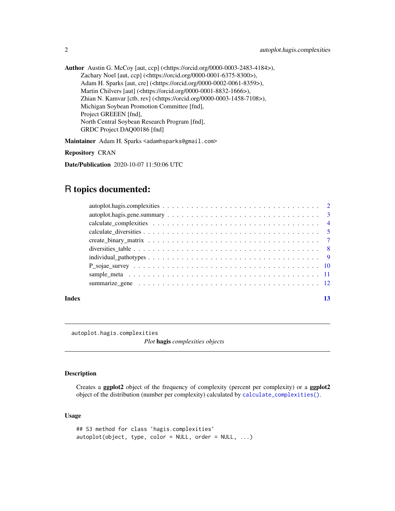<span id="page-1-0"></span>Author Austin G. McCoy [aut, ccp] (<https://orcid.org/0000-0003-2483-4184>), Zachary Noel [aut, ccp] (<https://orcid.org/0000-0001-6375-8300>), Adam H. Sparks [aut, cre] (<https://orcid.org/0000-0002-0061-8359>), Martin Chilvers [aut] (<https://orcid.org/0000-0001-8832-1666>), Zhian N. Kamvar [ctb, rev] (<https://orcid.org/0000-0003-1458-7108>), Michigan Soybean Promotion Committee [fnd], Project GREEEN [fnd], North Central Soybean Research Program [fnd], GRDC Project DAQ00186 [fnd]

Maintainer Adam H. Sparks <adamhsparks@gmail.com>

Repository CRAN

Date/Publication 2020-10-07 11:50:06 UTC

### R topics documented:

| Index |  |
|-------|--|
|       |  |
|       |  |
|       |  |
|       |  |
|       |  |
|       |  |
|       |  |
|       |  |
|       |  |
|       |  |

autoplot.hagis.complexities

*Plot* hagis *complexities objects*

#### Description

Creates a ggplot2 object of the frequency of complexity (percent per complexity) or a ggplot2 object of the distribution (number per complexity) calculated by [calculate\\_complexities\(\)](#page-3-1).

```
## S3 method for class 'hagis.complexities'
autoplot(object, type, color = NULL, order = NULL, ...)
```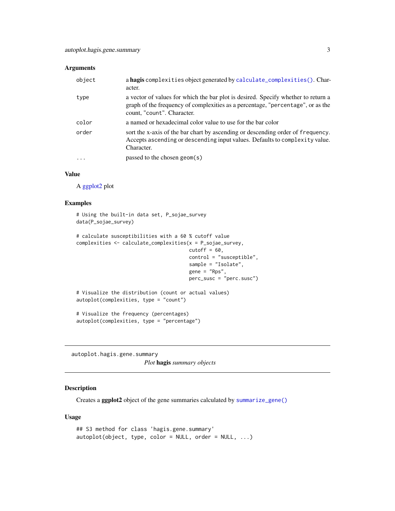<span id="page-2-0"></span>

| object                  | a hagis complexities object generated by calculate_complexities(). Char-<br>acter.                                                                                                                 |
|-------------------------|----------------------------------------------------------------------------------------------------------------------------------------------------------------------------------------------------|
| type                    | a vector of values for which the bar plot is desired. Specify whether to return a<br>graph of the frequency of complexities as a percentage, "percentage", or as the<br>count, "count". Character. |
| color                   | a named or hexadecimal color value to use for the bar color                                                                                                                                        |
| order                   | sort the x-axis of the bar chart by ascending or descending order of frequency.<br>Accepts ascending or descending input values. Defaults to complexity value.<br>Character.                       |
| $\cdot$ $\cdot$ $\cdot$ | passed to the chosen geom $(s)$                                                                                                                                                                    |

#### Value

A [ggplot2](#page-0-0) plot

#### Examples

```
# Using the built-in data set, P_sojae_survey
data(P_sojae_survey)
# calculate susceptibilities with a 60 % cutoff value
complexities <- calculate_complexities(x = P_sojae_survey,
                                       cutoff = 60,control = "susceptible",
                                       sample = "Isolate",
                                       gene = "Rps",
                                       perc_susc = "perc.susc")
# Visualize the distribution (count or actual values)
autoplot(complexities, type = "count")
# Visualize the frequency (percentages)
autoplot(complexities, type = "percentage")
```
autoplot.hagis.gene.summary *Plot* hagis *summary objects*

#### Description

Creates a ggplot2 object of the gene summaries calculated by [summarize\\_gene\(\)](#page-11-1)

```
## S3 method for class 'hagis.gene.summary'
autoplot(object, type, color = NULL, order = NULL, ...)
```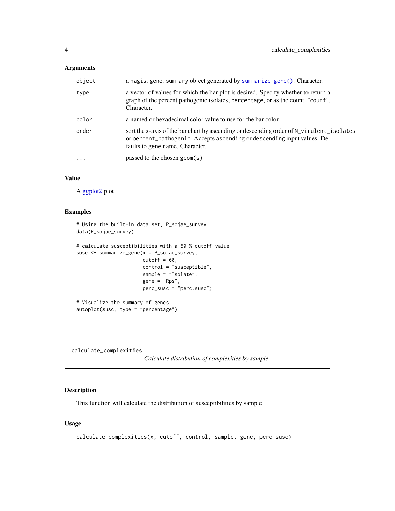<span id="page-3-0"></span>

| object   | a hagis.gene.summary object generated by summarize_gene(). Character.                                                                                                                                   |
|----------|---------------------------------------------------------------------------------------------------------------------------------------------------------------------------------------------------------|
| type     | a vector of values for which the bar plot is desired. Specify whether to return a<br>graph of the percent pathogenic isolates, percentage, or as the count, "count".<br>Character.                      |
| color    | a named or hexadecimal color value to use for the bar color                                                                                                                                             |
| order    | sort the x-axis of the bar chart by ascending or descending order of N_virulent_isolates<br>or percent_pathogenic. Accepts ascending or descending input values. De-<br>faults to gene name. Character. |
| $\cdots$ | passed to the chosen geom(s)                                                                                                                                                                            |

#### Value

A [ggplot2](#page-0-0) plot

#### Examples

```
# Using the built-in data set, P_sojae_survey
data(P_sojae_survey)
# calculate susceptibilities with a 60 % cutoff value
susc <- summarize_gene(x = P_sojae_survey,
                      cutoff = 60,
                       control = "susceptible",
                       sample = "Isolate",
                       gene = "Rps",
                      perc_susc = "perc.susc")
# Visualize the summary of genes
autoplot(susc, type = "percentage")
```
<span id="page-3-1"></span>calculate\_complexities

*Calculate distribution of complexities by sample*

#### Description

This function will calculate the distribution of susceptibilities by sample

```
calculate_complexities(x, cutoff, control, sample, gene, perc_susc)
```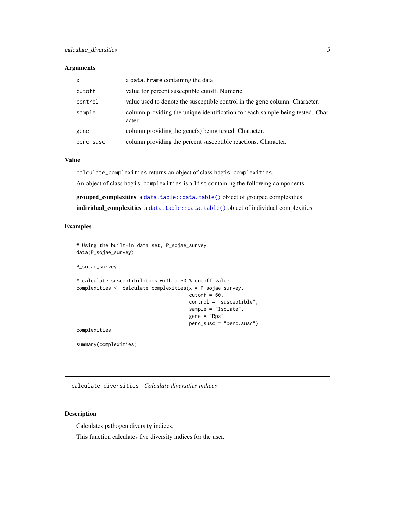<span id="page-4-0"></span>

| $\mathsf{x}$ | a data. frame containing the data.                                                       |
|--------------|------------------------------------------------------------------------------------------|
| cutoff       | value for percent susceptible cutoff. Numeric.                                           |
| control      | value used to denote the susceptible control in the gene column. Character.              |
| sample       | column providing the unique identification for each sample being tested. Char-<br>acter. |
| gene         | column providing the gene(s) being tested. Character.                                    |
| perc_susc    | column providing the percent susceptible reactions. Character.                           |

#### Value

calculate\_complexities returns an object of class hagis.complexities.

An object of class hagis.complexities is a list containing the following components

grouped\_complexities a [data.table::data.table\(\)](#page-0-0) object of grouped complexities individual\_complexities a [data.table::data.table\(\)](#page-0-0) object of individual complexities

#### Examples

# Using the built-in data set, P\_sojae\_survey data(P\_sojae\_survey) P\_sojae\_survey

```
# calculate susceptibilities with a 60 % cutoff value
complexities <- calculate_complexities(x = P_sojae_survey,
                                       cutoff = 60,
                                       control = "susceptible",
                                       sample = "Isolate",
                                       gene = "Rps",
                                       perc_susc = "perc.susc")
complexities
```
summary(complexities)

<span id="page-4-1"></span>calculate\_diversities *Calculate diversities indices*

#### Description

Calculates pathogen diversity indices.

This function calculates five diversity indices for the user.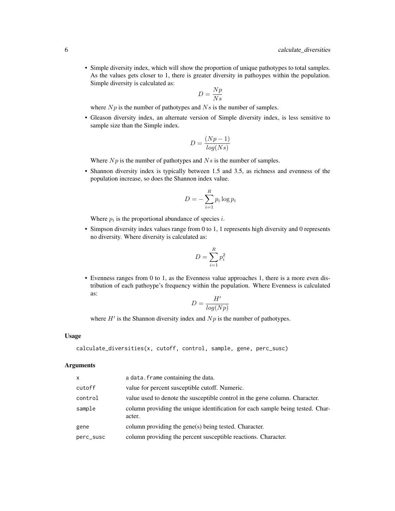• Simple diversity index, which will show the proportion of unique pathotypes to total samples. As the values gets closer to 1, there is greater diversity in pathoypes within the population. Simple diversity is calculated as:

$$
D=\frac{Np}{Ns}
$$

where  $Np$  is the number of pathotypes and  $Ns$  is the number of samples.

• Gleason diversity index, an alternate version of Simple diversity index, is less sensitive to sample size than the Simple index.

$$
D = \frac{(Np - 1)}{\log(Ns)}
$$

Where  $Np$  is the number of pathotypes and  $Ns$  is the number of samples.

• Shannon diversity index is typically between 1.5 and 3.5, as richness and evenness of the population increase, so does the Shannon index value.

$$
D = -\sum_{i=1}^{R} p_i \log p_i
$$

Where  $p_i$  is the proportional abundance of species i.

• Simpson diversity index values range from 0 to 1, 1 represents high diversity and 0 represents no diversity. Where diversity is calculated as:

$$
D = \sum_{i=1}^{R} p_i^2
$$

• Evenness ranges from 0 to 1, as the Evenness value approaches 1, there is a more even distribution of each pathoype's frequency within the population. Where Evenness is calculated as:

$$
D = \frac{H'}{log(Np)}
$$

where  $H'$  is the Shannon diversity index and  $Np$  is the number of pathotypes.

#### Usage

```
calculate_diversities(x, cutoff, control, sample, gene, perc_susc)
```
#### Arguments

| column providing the unique identification for each sample being tested. Char- |
|--------------------------------------------------------------------------------|
|                                                                                |
|                                                                                |
|                                                                                |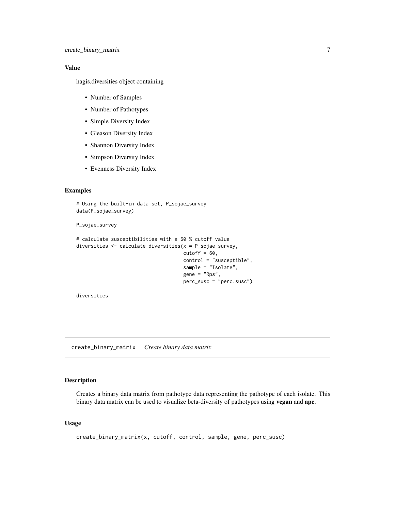#### <span id="page-6-0"></span>Value

hagis.diversities object containing

- Number of Samples
- Number of Pathotypes
- Simple Diversity Index
- Gleason Diversity Index
- Shannon Diversity Index
- Simpson Diversity Index
- Evenness Diversity Index

#### Examples

```
# Using the built-in data set, P_sojae_survey
data(P_sojae_survey)
```
P\_sojae\_survey

```
# calculate susceptibilities with a 60 % cutoff value
diversities <- calculate_diversities(x = P_sojae_survey,
                                     cutoff = 60,control = "susceptible",
                                     sample = "Isolate",
                                     gene = "Rps",
                                     perc_susc = "perc.susc")
```
diversities

create\_binary\_matrix *Create binary data matrix*

#### Description

Creates a binary data matrix from pathotype data representing the pathotype of each isolate. This binary data matrix can be used to visualize beta-diversity of pathotypes using **vegan** and **ape**.

```
create_binary_matrix(x, cutoff, control, sample, gene, perc_susc)
```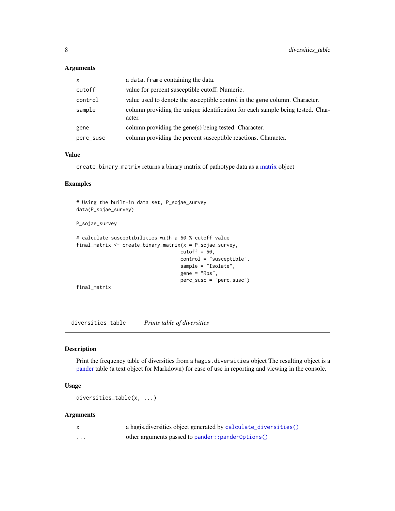<span id="page-7-0"></span>

| $\mathsf{x}$ | a data. frame containing the data.                                                       |
|--------------|------------------------------------------------------------------------------------------|
| cutoff       | value for percent susceptible cutoff. Numeric.                                           |
| control      | value used to denote the susceptible control in the gene column. Character.              |
| sample       | column providing the unique identification for each sample being tested. Char-<br>acter. |
| gene         | column providing the gene(s) being tested. Character.                                    |
| perc_susc    | column providing the percent susceptible reactions. Character.                           |

#### Value

create\_binary\_matrix returns a binary matrix of pathotype data as a [matrix](#page-0-0) object

#### Examples

```
# Using the built-in data set, P_sojae_survey
data(P_sojae_survey)
P_sojae_survey
# calculate susceptibilities with a 60 % cutoff value
final_matrix <- create_binary_matrix(x = P_sojae_survey,
                                    cutoff = 60,
                                    control = "susceptible",
                                    sample = "Isolate",
                                    gene = "Rps",
                                    perc_susc = "perc.susc")
final_matrix
```
<span id="page-7-1"></span>diversities\_table *Prints table of diversities*

#### Description

Print the frequency table of diversities from a hagis.diversities object The resulting object is a [pander](#page-0-0) table (a text object for Markdown) for ease of use in reporting and viewing in the console.

#### Usage

diversities\_table(x, ...)

#### Arguments

|   | a hagis.diversities object generated by calculate_diversities() |
|---|-----------------------------------------------------------------|
| . | other arguments passed to pander::pander0ptions()               |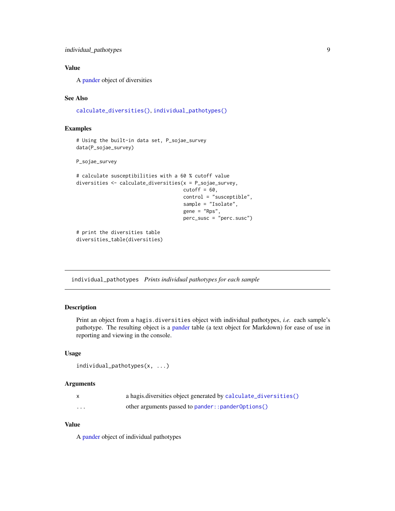#### <span id="page-8-0"></span>Value

A [pander](#page-0-0) object of diversities

#### See Also

[calculate\\_diversities\(\)](#page-4-1), [individual\\_pathotypes\(\)](#page-8-1)

#### Examples

```
# Using the built-in data set, P_sojae_survey
data(P_sojae_survey)
```
#### P\_sojae\_survey

```
# calculate susceptibilities with a 60 % cutoff value
diversities <- calculate_diversities(x = P_sojae_survey,
                                     cutoff = 60,
                                     control = "susceptible",
                                     sample = "Isolate",
                                     gene = "Rps",
                                     perc_susc = "perc.susc")
# print the diversities table
```
diversities\_table(diversities)

<span id="page-8-1"></span>individual\_pathotypes *Prints individual pathotypes for each sample*

#### Description

Print an object from a hagis.diversities object with individual pathotypes, *i.e.* each sample's pathotype. The resulting object is a [pander](#page-0-0) table (a text object for Markdown) for ease of use in reporting and viewing in the console.

#### Usage

```
individual_pathotypes(x, ...)
```
#### Arguments

|          | a hagis.diversities object generated by calculate_diversities() |
|----------|-----------------------------------------------------------------|
| $\cdots$ | other arguments passed to pander:: pander0ptions()              |

#### Value

A [pander](#page-0-0) object of individual pathotypes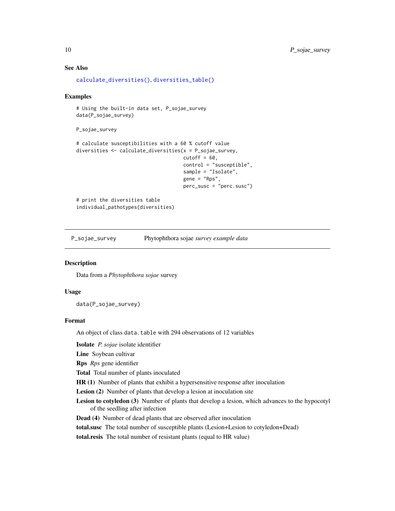#### <span id="page-9-0"></span>See Also

```
calculate_diversities(), diversities_table()
```
#### Examples

```
# Using the built-in data set, P_sojae_survey
data(P_sojae_survey)
P_sojae_survey
# calculate susceptibilities with a 60 % cutoff value
diversities <- calculate_diversities(x = P_sojae_survey,
                                     cutoff = 60,
                                     control = "susceptible",
                                     sample = "Isolate",
                                     gene = "Rps",
                                     perc_susc = "perc.susc")
# print the diversities table
```
individual\_pathotypes(diversities)

P\_sojae\_survey Phytophthora sojae *survey example data*

#### Description

Data from a *Phytophthora sojae* survey

#### Usage

data(P\_sojae\_survey)

#### Format

An object of class data.table with 294 observations of 12 variables

Isolate *P. sojae* isolate identifier

Line Soybean cultivar

Rps *Rps* gene identifier

Total Total number of plants inoculated

HR (1) Number of plants that exhibit a hypersensitive response after inoculation

Lesion (2) Number of plants that develop a lesion at inoculation site

- Lesion to cotyledon (3) Number of plants that develop a lesion, which advances to the hypocotyl of the seedling after infection
- Dead (4) Number of dead plants that are observed after inoculation

total.susc The total number of susceptible plants (Lesion+Lesion to cotyledon+Dead)

total.resis The total number of resistant plants (equal to HR value)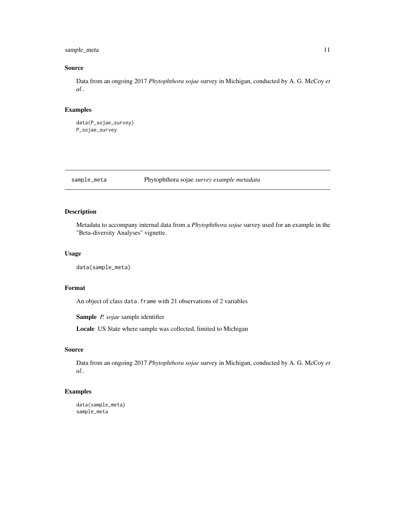#### <span id="page-10-0"></span>sample\_meta 11

#### Source

Data from an ongoing 2017 *Phytophthora sojae* survey in Michigan, conducted by A. G. McCoy *et al.*.

#### Examples

```
data(P_sojae_survey)
P_sojae_survey
```
sample\_meta Phytophthora sojae *survey example metadata*

#### Description

Metadata to accompany internal data from a *Phytophthora sojae* survey used for an example in the "Beta-diversity Analyses" vignette.

#### Usage

data(sample\_meta)

#### Format

An object of class data.frame with 21 observations of 2 variables

Sample *P. sojae* sample identifier

Locale US State where sample was collected, limited to Michigan

#### Source

Data from an ongoing 2017 *Phytophthora sojae* survey in Michigan, conducted by A. G. McCoy *et al.*.

#### Examples

```
data(sample_meta)
sample_meta
```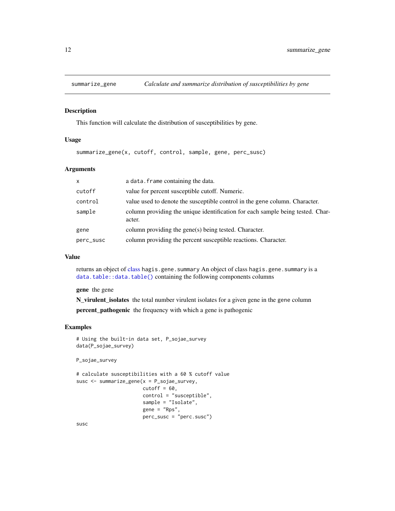<span id="page-11-1"></span><span id="page-11-0"></span>

#### Description

This function will calculate the distribution of susceptibilities by gene.

#### Usage

summarize\_gene(x, cutoff, control, sample, gene, perc\_susc)

#### Arguments

| $\mathsf{x}$ | a data. frame containing the data.                                                       |
|--------------|------------------------------------------------------------------------------------------|
| cutoff       | value for percent susceptible cutoff. Numeric.                                           |
| control      | value used to denote the susceptible control in the gene column. Character.              |
| sample       | column providing the unique identification for each sample being tested. Char-<br>acter. |
| gene         | column providing the gene(s) being tested. Character.                                    |
| perc_susc    | column providing the percent susceptible reactions. Character.                           |

#### Value

returns an object of [class](#page-0-0) hagis.gene.summary An object of class hagis.gene.summary is a [data.table::data.table\(\)](#page-0-0) containing the following components columns

gene the gene

N\_virulent\_isolates the total number virulent isolates for a given gene in the gene column percent\_pathogenic the frequency with which a gene is pathogenic

#### Examples

```
# Using the built-in data set, P_sojae_survey
data(P_sojae_survey)
P_sojae_survey
# calculate susceptibilities with a 60 % cutoff value
susc <- summarize_gene(x = P_sojae_survey,
                       cutoff = 60,
                       control = "susceptible",
                       sample = "Isolate",
                       gene = "Rps",
                       perc_susc = "perc.susc")
```
susc